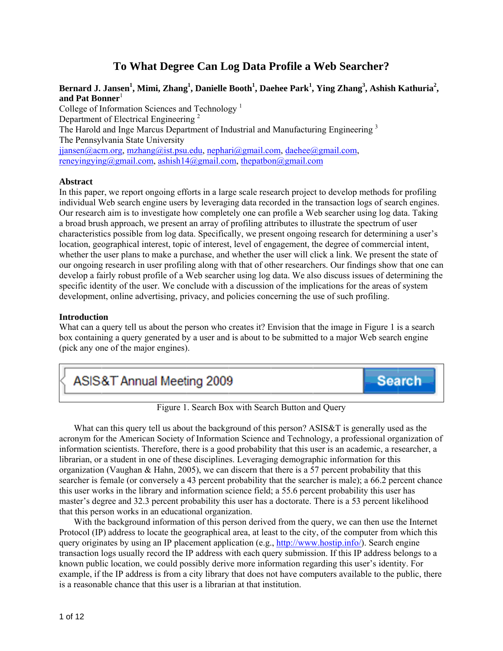# **To What Degree Can Log Data Profile a Web Searcher?**

## **Bernard J. Jansen<sup>1</sup> , Mimi, Zhang<sup>1</sup> , Danielle Booth1 , Daehee Park<sup>1</sup> , Ying Zhang<sup>3</sup> , Ashish Kathuria<sup>2</sup> ,**  and Pat Bonner<sup>1</sup>

College of Information Sciences and Technology<sup>1</sup> Department of Electrical Engineering<sup>2</sup> The Harold and Inge Marcus Department of Industrial and Manufacturing Engineering 3 The Pennsylvania State University  $ijansen@acm.org$ , [mzhang@ist.psu.edu,](mailto:mzhang@ist.psu.edu) [nephari@gmail.com,](mailto:nephari@gmail.com) [daehee@gmail.com,](mailto:daehee@gmail.com) [reneyingying@gmail.com,](mailto:reneyingying@gmail.com) [ashish14@gmail.com,](mailto:ashish14@gmail.com) [thepatbon@gmail.com](mailto:thepatbon@gmail.com)

## **Abstract**

In this paper, we report ongoing efforts in a large scale research project to develop methods for profiling individual Web search engine users by leveraging data recorded in the transaction logs of search engines. Our research aim is to investigate how completely one can profile a Web searcher using log data. Taking a broad brush approach, we present an array of profiling attributes to illustrate the spectrum of user characteristics possible from log data. Specifically, we present ongoing research for determining a user's location, geographical interest, topic of interest, level of engagement, the degree of commercial intent, whether the user plans to make a purchase, and whether the user will click a link. We present the state of our ongoing research in user profiling along with that of other researchers. Our findings show that one can develop a fairly robust profile of a Web searcher using log data. We also discuss issues of determining the specific identity of the user. We conclude with a discussion of the implications for the areas of system development, online advertising, privacy, and policies concerning the use of such profiling.

## **Introduction**

What can a query tell us about the person who creates it? Envision that the image in Figure 1 is a search box containing a query generated by a user and is about to be submitted to a major Web search engine (pick any one of the major engines).

| ASIS&T Annual Meeting 2009 | <b>Search</b> |
|----------------------------|---------------|
|----------------------------|---------------|

Figure 1. Search Box with Search Button and Query

What can this query tell us about the background of this person? ASIS&T is generally used as the acronym for the American Society of Information Science and Technology, a professional organization of information scientists. Therefore, there is a good probability that this user is an academic, a researcher, a librarian, or a student in one of these disciplines. Leveraging demographic information for this organization (Vaughan & Hahn, 2005), we can discern that there is a 57 percent probability that this searcher is female (or conversely a 43 percent probability that the searcher is male); a 66.2 percent chance this user works in the library and information science field; a 55.6 percent probability this user has master's degree and 32.3 percent probability this user has a doctorate. There is a 53 percent likelihood that this person works in an educational organization.

With the background information of this person derived from the query, we can then use the Internet Protocol (IP) address to locate the geographical area, at least to the city, of the computer from which this query originates by using an IP placement application (e.g., [http://www.hostip.info/\)](www.hostip.info/). Search engine transaction logs usually record the IP address with each query submission. If this IP address belongs to a known public location, we could possibly derive more information regarding this user's identity. For example, if the IP address is from a city library that does not have computers available to the public, there is a reasonable chance that this user is a librarian at that institution.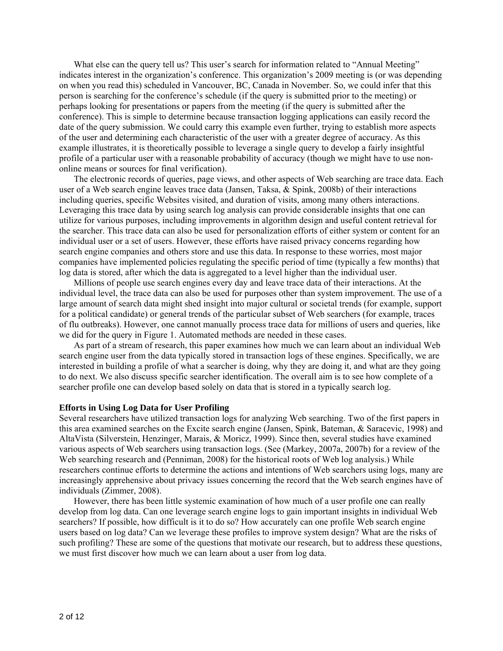What else can the query tell us? This user's search for information related to "Annual Meeting" indicates interest in the organization's conference. This organization's 2009 meeting is (or was depending on when you read this) scheduled in Vancouver, BC, Canada in November. So, we could infer that this person is searching for the conference's schedule (if the query is submitted prior to the meeting) or perhaps looking for presentations or papers from the meeting (if the query is submitted after the conference). This is simple to determine because transaction logging applications can easily record the date of the query submission. We could carry this example even further, trying to establish more aspects of the user and determining each characteristic of the user with a greater degree of accuracy. As this example illustrates, it is theoretically possible to leverage a single query to develop a fairly insightful profile of a particular user with a reasonable probability of accuracy (though we might have to use nononline means or sources for final verification).

The electronic records of queries, page views, and other aspects of Web searching are trace data. Each user of a Web search engine leaves trace data (Jansen, Taksa, & Spink, 2008b) of their interactions including queries, specific Websites visited, and duration of visits, among many others interactions. Leveraging this trace data by using search log analysis can provide considerable insights that one can utilize for various purposes, including improvements in algorithm design and useful content retrieval for the searcher. This trace data can also be used for personalization efforts of either system or content for an individual user or a set of users. However, these efforts have raised privacy concerns regarding how search engine companies and others store and use this data. In response to these worries, most major companies have implemented policies regulating the specific period of time (typically a few months) that log data is stored, after which the data is aggregated to a level higher than the individual user.

Millions of people use search engines every day and leave trace data of their interactions. At the individual level, the trace data can also be used for purposes other than system improvement. The use of a large amount of search data might shed insight into major cultural or societal trends (for example, support for a political candidate) or general trends of the particular subset of Web searchers (for example, traces of flu outbreaks). However, one cannot manually process trace data for millions of users and queries, like we did for the query in Figure 1. Automated methods are needed in these cases.

As part of a stream of research, this paper examines how much we can learn about an individual Web search engine user from the data typically stored in transaction logs of these engines. Specifically, we are interested in building a profile of what a searcher is doing, why they are doing it, and what are they going to do next. We also discuss specific searcher identification. The overall aim is to see how complete of a searcher profile one can develop based solely on data that is stored in a typically search log.

#### **Efforts in Using Log Data for User Profiling**

Several researchers have utilized transaction logs for analyzing Web searching. Two of the first papers in this area examined searches on the Excite search engine (Jansen, Spink, Bateman, & Saracevic, 1998) and AltaVista (Silverstein, Henzinger, Marais, & Moricz, 1999). Since then, several studies have examined various aspects of Web searchers using transaction logs. (See (Markey, 2007a, 2007b) for a review of the Web searching research and (Penniman, 2008) for the historical roots of Web log analysis.) While researchers continue efforts to determine the actions and intentions of Web searchers using logs, many are increasingly apprehensive about privacy issues concerning the record that the Web search engines have of individuals (Zimmer, 2008).

However, there has been little systemic examination of how much of a user profile one can really develop from log data. Can one leverage search engine logs to gain important insights in individual Web searchers? If possible, how difficult is it to do so? How accurately can one profile Web search engine users based on log data? Can we leverage these profiles to improve system design? What are the risks of such profiling? These are some of the questions that motivate our research, but to address these questions, we must first discover how much we can learn about a user from log data.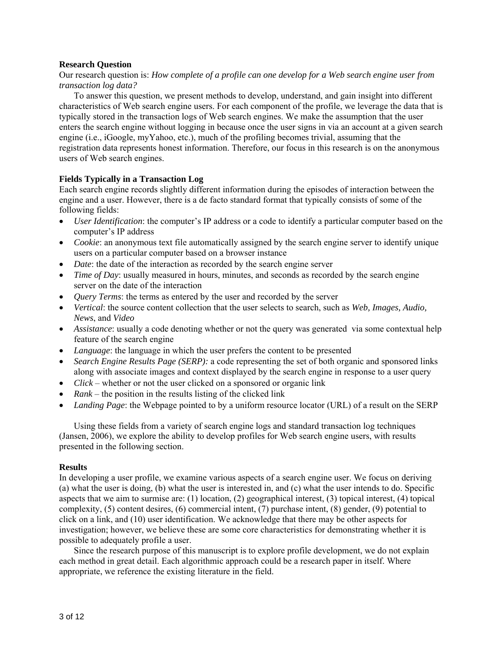## **Research Question**

Our research question is: *How complete of a profile can one develop for a Web search engine user from transaction log data?* 

To answer this question, we present methods to develop, understand, and gain insight into different characteristics of Web search engine users. For each component of the profile, we leverage the data that is typically stored in the transaction logs of Web search engines. We make the assumption that the user enters the search engine without logging in because once the user signs in via an account at a given search engine (i.e., iGoogle, myYahoo, etc.), much of the profiling becomes trivial, assuming that the registration data represents honest information. Therefore, our focus in this research is on the anonymous users of Web search engines.

## **Fields Typically in a Transaction Log**

Each search engine records slightly different information during the episodes of interaction between the engine and a user. However, there is a de facto standard format that typically consists of some of the following fields:

- *User Identification*: the computer's IP address or a code to identify a particular computer based on the computer's IP address
- *Cookie*: an anonymous text file automatically assigned by the search engine server to identify unique users on a particular computer based on a browser instance
- *Date:* the date of the interaction as recorded by the search engine server
- *Time of Day*: usually measured in hours, minutes, and seconds as recorded by the search engine server on the date of the interaction
- *Query Terms*: the terms as entered by the user and recorded by the server
- *Vertical*: the source content collection that the user selects to search, such as *Web, Images, Audio, News*, and *Video*
- *Assistance*: usually a code denoting whether or not the query was generated via some contextual help feature of the search engine
- *Language*: the language in which the user prefers the content to be presented
- *Search Engine Results Page (SERP):* a code representing the set of both organic and sponsored links along with associate images and context displayed by the search engine in response to a user query
- *Click* whether or not the user clicked on a sponsored or organic link
- *Rank* the position in the results listing of the clicked link
- *Landing Page*: the Webpage pointed to by a uniform resource locator (URL) of a result on the SERP

Using these fields from a variety of search engine logs and standard transaction log techniques (Jansen, 2006), we explore the ability to develop profiles for Web search engine users, with results presented in the following section.

### **Results**

In developing a user profile, we examine various aspects of a search engine user. We focus on deriving (a) what the user is doing, (b) what the user is interested in, and (c) what the user intends to do. Specific aspects that we aim to surmise are: (1) location, (2) geographical interest, (3) topical interest, (4) topical complexity, (5) content desires, (6) commercial intent, (7) purchase intent, (8) gender, (9) potential to click on a link, and (10) user identification. We acknowledge that there may be other aspects for investigation; however, we believe these are some core characteristics for demonstrating whether it is possible to adequately profile a user.

Since the research purpose of this manuscript is to explore profile development, we do not explain each method in great detail. Each algorithmic approach could be a research paper in itself. Where appropriate, we reference the existing literature in the field.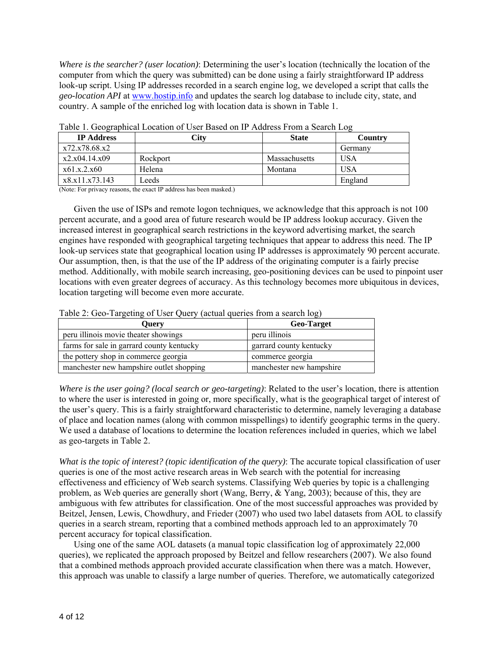*Where is the searcher? (user location)*: Determining the user's location (technically the location of the computer from which the query was submitted) can be done using a fairly straightforward IP address look-up script. Using IP addresses recorded in a search engine log, we developed a script that calls the *geo-location API* at <www.hostip.info>and updates the search log database to include city, state, and country. A sample of the enriched log with location data is shown in Table 1.

| <b>IP Address</b> | City     | <b>State</b>  | <b>Country</b> |
|-------------------|----------|---------------|----------------|
| x72.x78.68.x2     |          |               | Germany        |
| x2.x04.14.x09     | Rockport | Massachusetts | <b>USA</b>     |
| x61.x.2.x60       | Helena   | Montana       | USA            |
| x8.x11.x73.143    | Leeds    |               | England        |

Table 1. Geographical Location of User Based on IP Address From a Search Log

(Note: For privacy reasons, the exact IP address has been masked.)

Given the use of ISPs and remote logon techniques, we acknowledge that this approach is not 100 percent accurate, and a good area of future research would be IP address lookup accuracy. Given the increased interest in geographical search restrictions in the keyword advertising market, the search engines have responded with geographical targeting techniques that appear to address this need. The IP look-up services state that geographical location using IP addresses is approximately 90 percent accurate. Our assumption, then, is that the use of the IP address of the originating computer is a fairly precise method. Additionally, with mobile search increasing, geo-positioning devices can be used to pinpoint user locations with even greater degrees of accuracy. As this technology becomes more ubiquitous in devices, location targeting will become even more accurate.

Table 2: Geo-Targeting of User Query (actual queries from a search log)

| Ouerv                                     | <b>Geo-Target</b>        |
|-------------------------------------------|--------------------------|
| peru illinois movie theater showings      | peru illinois            |
| farms for sale in garrard county kentucky | garrard county kentucky  |
| the pottery shop in commerce georgia      | commerce georgia         |
| manchester new hampshire outlet shopping  | manchester new hampshire |

*Where is the user going? (local search or geo-targeting)*: Related to the user's location, there is attention to where the user is interested in going or, more specifically, what is the geographical target of interest of the user's query. This is a fairly straightforward characteristic to determine, namely leveraging a database of place and location names (along with common misspellings) to identify geographic terms in the query. We used a database of locations to determine the location references included in queries, which we label as geo-targets in Table 2.

*What is the topic of interest? (topic identification of the query)*: The accurate topical classification of user queries is one of the most active research areas in Web search with the potential for increasing effectiveness and efficiency of Web search systems. Classifying Web queries by topic is a challenging problem, as Web queries are generally short (Wang, Berry, & Yang, 2003); because of this, they are ambiguous with few attributes for classification. One of the most successful approaches was provided by Beitzel, Jensen, Lewis, Chowdhury, and Frieder (2007) who used two label datasets from AOL to classify queries in a search stream, reporting that a combined methods approach led to an approximately 70 percent accuracy for topical classification.

Using one of the same AOL datasets (a manual topic classification log of approximately 22,000 queries), we replicated the approach proposed by Beitzel and fellow researchers (2007). We also found that a combined methods approach provided accurate classification when there was a match. However, this approach was unable to classify a large number of queries. Therefore, we automatically categorized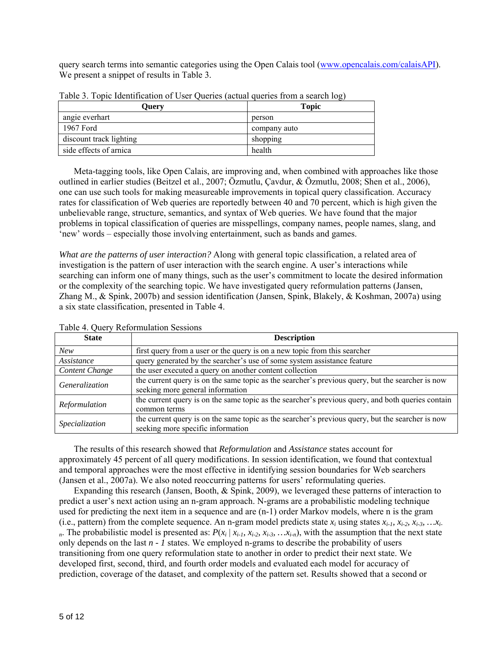query search terms into semantic categories using the Open Calais tool (<www.opencalais.com/calaisAPI>). We present a snippet of results in Table 3.

| Ouerv                   | <b>Topic</b> |
|-------------------------|--------------|
| angie everhart          | person       |
| 1967 Ford               | company auto |
| discount track lighting | shopping     |
| side effects of arnica  | health       |

Table 3. Topic Identification of User Queries (actual queries from a search log)

Meta-tagging tools, like Open Calais, are improving and, when combined with approaches like those outlined in earlier studies (Beitzel et al., 2007; Özmutlu, Çavdur, & Özmutlu, 2008; Shen et al., 2006), one can use such tools for making measureable improvements in topical query classification. Accuracy rates for classification of Web queries are reportedly between 40 and 70 percent, which is high given the unbelievable range, structure, semantics, and syntax of Web queries. We have found that the major problems in topical classification of queries are misspellings, company names, people names, slang, and 'new' words – especially those involving entertainment, such as bands and games.

*What are the patterns of user interaction?* Along with general topic classification, a related area of investigation is the pattern of user interaction with the search engine. A user's interactions while searching can inform one of many things, such as the user's commitment to locate the desired information or the complexity of the searching topic. We have investigated query reformulation patterns (Jansen, Zhang M., & Spink, 2007b) and session identification (Jansen, Spink, Blakely, & Koshman, 2007a) using a six state classification, presented in Table 4.

| <b>State</b>   | <b>Description</b>                                                                                                                    |  |  |  |  |  |
|----------------|---------------------------------------------------------------------------------------------------------------------------------------|--|--|--|--|--|
| <b>New</b>     | first query from a user or the query is on a new topic from this searcher                                                             |  |  |  |  |  |
| Assistance     | query generated by the searcher's use of some system assistance feature                                                               |  |  |  |  |  |
| Content Change | the user executed a query on another content collection                                                                               |  |  |  |  |  |
| Generalization | the current query is on the same topic as the searcher's previous query, but the searcher is now<br>seeking more general information  |  |  |  |  |  |
| Reformulation  | the current query is on the same topic as the searcher's previous query, and both queries contain<br>common terms                     |  |  |  |  |  |
| Specialization | the current query is on the same topic as the searcher's previous query, but the searcher is now<br>seeking more specific information |  |  |  |  |  |

Table 4. Query Reformulation Sessions

The results of this research showed that *Reformulation* and *Assistance* states account for approximately 45 percent of all query modifications. In session identification, we found that contextual and temporal approaches were the most effective in identifying session boundaries for Web searchers (Jansen et al., 2007a). We also noted reoccurring patterns for users' reformulating queries.

Expanding this research (Jansen, Booth, & Spink, 2009), we leveraged these patterns of interaction to predict a user's next action using an n-gram approach. N-grams are a probabilistic modeling technique used for predicting the next item in a sequence and are  $(n-1)$  order Markov models, where n is the gram (i.e., pattern) from the complete sequence. An n-gram model predicts state  $x_i$  using states  $x_{i-1}$ ,  $x_{i-2}$ ,  $x_{i-3}$ , ... $x_{i-1}$ *n*. The probabilistic model is presented as:  $P(x_i | x_{i-1}, x_{i-2}, x_{i-3}, \ldots, x_{i-n})$ , with the assumption that the next state only depends on the last  $n - I$  states. We employed n-grams to describe the probability of users transitioning from one query reformulation state to another in order to predict their next state. We developed first, second, third, and fourth order models and evaluated each model for accuracy of prediction, coverage of the dataset, and complexity of the pattern set. Results showed that a second or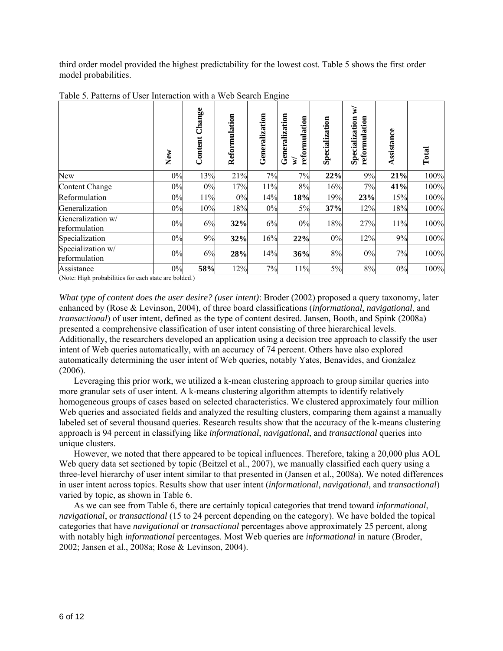third order model provided the highest predictability for the lowest cost. Table 5 shows the first order model probabilities.

|                                    | New | Change<br>Content | Reformulation | Generalization | eneralization<br>reformulation<br>₹<br>Ğ | Specialization | ≅<br>reformulation<br>Specialization | Assistance | Total |
|------------------------------------|-----|-------------------|---------------|----------------|------------------------------------------|----------------|--------------------------------------|------------|-------|
| <b>New</b>                         | 0%  | 13%               | 21%           | 7%             | 7%                                       | 22%            | 9%                                   | 21%        | 100%  |
| <b>Content Change</b>              | 0%  | 0%                | 17%           | 11%            | 8%                                       | 16%            | 7%                                   | 41%        | 100%  |
| Reformulation                      | 0%  | 11%               | $0\%$         | 14%            | 18%                                      | 19%            | 23%                                  | 15%        | 100%  |
| Generalization                     | 0%  | 10%               | 18%           | $0\%$          | 5%                                       | 37%            | 12%                                  | 18%        | 100%  |
| Generalization w/<br>reformulation | 0%  | 6%                | 32%           | 6%             | 0%                                       | 18%            | 27%                                  | 11%        | 100%  |
| Specialization                     | 0%  | 9%                | 32%           | 16%            | 22%                                      | 0%             | 12%                                  | 9%         | 100%  |
| Specialization w/<br>reformulation | 0%  | 6%                | 28%           | 14%            | 36%                                      | 8%             | 0%                                   | 7%         | 100%  |
| Assistance                         | 0%  | 58%               | 12%           | 7%             | 11%                                      | 5%             | 8%                                   | 0%         | 100%  |

Table 5. Patterns of User Interaction with a Web Search Engine

(Note: High probabilities for each state are bolded.)

*What type of content does the user desire? (user intent)*: Broder (2002) proposed a query taxonomy, later enhanced by (Rose & Levinson, 2004), of three board classifications (*informational*, *navigational*, and *transactional*) of user intent, defined as the type of content desired. Jansen, Booth, and Spink (2008a) presented a comprehensive classification of user intent consisting of three hierarchical levels. Additionally, the researchers developed an application using a decision tree approach to classify the user intent of Web queries automatically, with an accuracy of 74 percent. Others have also explored automatically determining the user intent of Web queries, notably Yates, Benavides, and Gonźalez (2006).

Leveraging this prior work, we utilized a k-mean clustering approach to group similar queries into more granular sets of user intent. A k-means clustering algorithm attempts to identify relatively homogeneous groups of cases based on selected characteristics. We clustered approximately four million Web queries and associated fields and analyzed the resulting clusters, comparing them against a manually labeled set of several thousand queries. Research results show that the accuracy of the k-means clustering approach is 94 percent in classifying like *informational*, *navigational*, and *transactional* queries into unique clusters.

However, we noted that there appeared to be topical influences. Therefore, taking a 20,000 plus AOL Web query data set sectioned by topic (Beitzel et al., 2007), we manually classified each query using a three-level hierarchy of user intent similar to that presented in (Jansen et al., 2008a). We noted differences in user intent across topics. Results show that user intent (*informational*, *navigational*, and *transactional*) varied by topic, as shown in Table 6.

As we can see from Table 6, there are certainly topical categories that trend toward *informational*, *navigational*, or *transactional* (15 to 24 percent depending on the category). We have bolded the topical categories that have *navigational* or *transactional* percentages above approximately 25 percent, along with notably high *informational* percentages. Most Web queries are *informational* in nature (Broder, 2002; Jansen et al., 2008a; Rose & Levinson, 2004).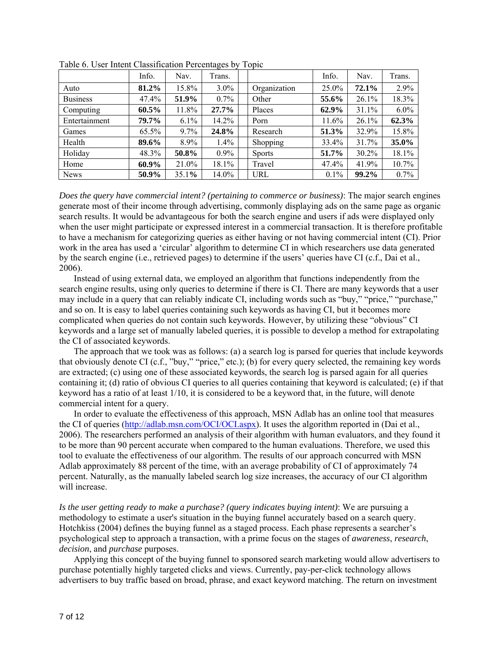|                 | Info. | Nav.  | Trans.  |               | Info.   | Nav.     | Trans.  |
|-----------------|-------|-------|---------|---------------|---------|----------|---------|
| Auto            | 81.2% | 15.8% | $3.0\%$ | Organization  | 25.0%   | 72.1%    | 2.9%    |
| <b>Business</b> | 47.4% | 51.9% | $0.7\%$ | Other         | 55.6%   | 26.1%    | 18.3%   |
| Computing       | 60.5% | 11.8% | 27.7%   | Places        | 62.9%   | 31.1%    | $6.0\%$ |
| Entertainment   | 79.7% | 6.1%  | 14.2%   | Porn          | 11.6%   | 26.1%    | 62.3%   |
| Games           | 65.5% | 9.7%  | 24.8%   | Research      | 51.3%   | 32.9%    | 15.8%   |
| Health          | 89.6% | 8.9%  | $1.4\%$ | Shopping      | 33.4%   | 31.7%    | 35.0%   |
| Holiday         | 48.3% | 50.8% | $0.9\%$ | <b>Sports</b> | 51.7%   | $30.2\%$ | 18.1%   |
| Home            | 60.9% | 21.0% | 18.1%   | Travel        | 47.4%   | 41.9%    | 10.7%   |
| <b>News</b>     | 50.9% | 35.1% | 14.0%   | URL           | $0.1\%$ | 99.2%    | $0.7\%$ |

Table 6. User Intent Classification Percentages by Topic

*Does the query have commercial intent? (pertaining to commerce or business)*: The major search engines generate most of their income through advertising, commonly displaying ads on the same page as organic search results. It would be advantageous for both the search engine and users if ads were displayed only when the user might participate or expressed interest in a commercial transaction. It is therefore profitable to have a mechanism for categorizing queries as either having or not having commercial intent (CI). Prior work in the area has used a 'circular' algorithm to determine CI in which researchers use data generated by the search engine (i.e., retrieved pages) to determine if the users' queries have CI (c.f., Dai et al., 2006).

Instead of using external data, we employed an algorithm that functions independently from the search engine results, using only queries to determine if there is CI. There are many keywords that a user may include in a query that can reliably indicate CI, including words such as "buy," "price," "purchase," and so on. It is easy to label queries containing such keywords as having CI, but it becomes more complicated when queries do not contain such keywords. However, by utilizing these "obvious" CI keywords and a large set of manually labeled queries, it is possible to develop a method for extrapolating the CI of associated keywords.

The approach that we took was as follows: (a) a search log is parsed for queries that include keywords that obviously denote CI (c.f., "buy," "price," etc.); (b) for every query selected, the remaining key words are extracted; (c) using one of these associated keywords, the search log is parsed again for all queries containing it; (d) ratio of obvious CI queries to all queries containing that keyword is calculated; (e) if that keyword has a ratio of at least 1/10, it is considered to be a keyword that, in the future, will denote commercial intent for a query.

In order to evaluate the effectiveness of this approach, MSN Adlab has an online tool that measures the CI of queries (http://adlab.msn.com/OCI/OCI.aspx). It uses the algorithm reported in (Dai et al., 2006). The researchers performed an analysis of their algorithm with human evaluators, and they found it to be more than 90 percent accurate when compared to the human evaluations. Therefore, we used this tool to evaluate the effectiveness of our algorithm. The results of our approach concurred with MSN Adlab approximately 88 percent of the time, with an average probability of CI of approximately 74 percent. Naturally, as the manually labeled search log size increases, the accuracy of our CI algorithm will increase

*Is the user getting ready to make a purchase? (query indicates buying intent)*: We are pursuing a methodology to estimate a user's situation in the buying funnel accurately based on a search query. Hotchkiss (2004) defines the buying funnel as a staged process. Each phase represents a searcher's psychological step to approach a transaction, with a prime focus on the stages of *awareness*, *research*, *decision*, and *purchase* purposes.

Applying this concept of the buying funnel to sponsored search marketing would allow advertisers to purchase potentially highly targeted clicks and views. Currently, pay-per-click technology allows advertisers to buy traffic based on broad, phrase, and exact keyword matching. The return on investment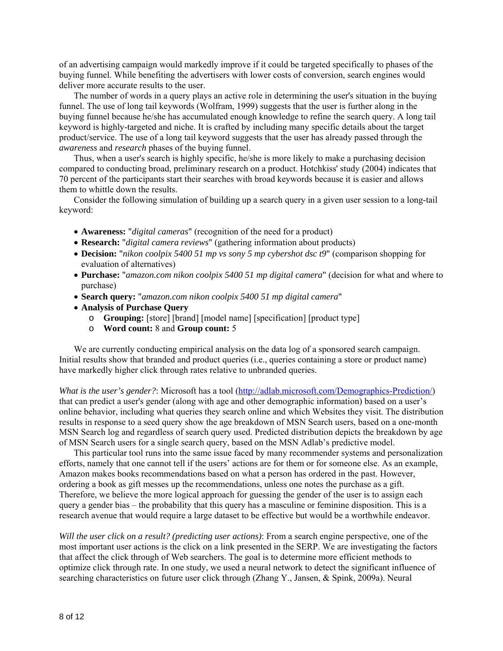of an advertising campaign would markedly improve if it could be targeted specifically to phases of the buying funnel. While benefiting the advertisers with lower costs of conversion, search engines would deliver more accurate results to the user.

The number of words in a query plays an active role in determining the user's situation in the buying funnel. The use of long tail keywords (Wolfram, 1999) suggests that the user is further along in the buying funnel because he/she has accumulated enough knowledge to refine the search query. A long tail keyword is highly-targeted and niche. It is crafted by including many specific details about the target product/service. The use of a long tail keyword suggests that the user has already passed through the *awareness* and *research* phases of the buying funnel.

Thus, when a user's search is highly specific, he/she is more likely to make a purchasing decision compared to conducting broad, preliminary research on a product. Hotchkiss' study (2004) indicates that 70 percent of the participants start their searches with broad keywords because it is easier and allows them to whittle down the results.

Consider the following simulation of building up a search query in a given user session to a long-tail keyword:

- **Awareness:** "*digital cameras*" (recognition of the need for a product)
- **Research:** "*digital camera reviews*" (gathering information about products)
- **Decision:** "*nikon coolpix 5400 51 mp vs sony 5 mp cybershot dsc t9*" (comparison shopping for evaluation of alternatives)
- **Purchase:** "*amazon.com nikon coolpix 5400 51 mp digital camera*" (decision for what and where to purchase)
- **Search query:** "*amazon.com nikon coolpix 5400 51 mp digital camera*"
- **Analysis of Purchase Query**
	- o **Grouping:** [store] [brand] [model name] [specification] [product type]
	- o **Word count:** 8 and **Group count:** 5

We are currently conducting empirical analysis on the data log of a sponsored search campaign. Initial results show that branded and product queries (i.e., queries containing a store or product name) have markedly higher click through rates relative to unbranded queries.

*What is the user's gender?*: Microsoft has a tool [\(http://adlab.microsoft.com/Demographics-Prediction/](http://adlab.microsoft.com/Demographics-Prediction/)) that can predict a user's gender (along with age and other demographic information) based on a user's online behavior, including what queries they search online and which Websites they visit. The distribution results in response to a seed query show the age breakdown of MSN Search users, based on a one-month MSN Search log and regardless of search query used. Predicted distribution depicts the breakdown by age of MSN Search users for a single search query, based on the MSN Adlab's predictive model.

This particular tool runs into the same issue faced by many recommender systems and personalization efforts, namely that one cannot tell if the users' actions are for them or for someone else. As an example, Amazon makes books recommendations based on what a person has ordered in the past. However, ordering a book as gift messes up the recommendations, unless one notes the purchase as a gift. Therefore, we believe the more logical approach for guessing the gender of the user is to assign each query a gender bias – the probability that this query has a masculine or feminine disposition. This is a research avenue that would require a large dataset to be effective but would be a worthwhile endeavor.

*Will the user click on a result? (predicting user actions)*: From a search engine perspective, one of the most important user actions is the click on a link presented in the SERP. We are investigating the factors that affect the click through of Web searchers. The goal is to determine more efficient methods to optimize click through rate. In one study, we used a neural network to detect the significant influence of searching characteristics on future user click through (Zhang Y., Jansen, & Spink, 2009a). Neural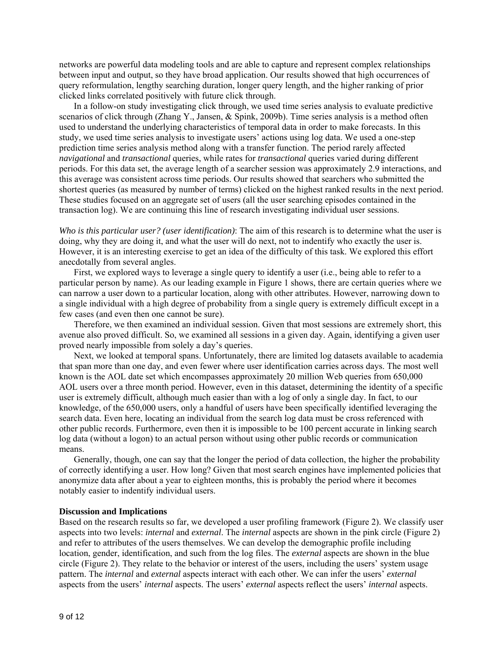networks are powerful data modeling tools and are able to capture and represent complex relationships between input and output, so they have broad application. Our results showed that high occurrences of query reformulation, lengthy searching duration, longer query length, and the higher ranking of prior clicked links correlated positively with future click through.

In a follow-on study investigating click through, we used time series analysis to evaluate predictive scenarios of click through (Zhang Y., Jansen, & Spink, 2009b). Time series analysis is a method often used to understand the underlying characteristics of temporal data in order to make forecasts. In this study, we used time series analysis to investigate users' actions using log data. We used a one-step prediction time series analysis method along with a transfer function. The period rarely affected *navigational* and *transactional* queries, while rates for *transactional* queries varied during different periods. For this data set, the average length of a searcher session was approximately 2.9 interactions, and this average was consistent across time periods. Our results showed that searchers who submitted the shortest queries (as measured by number of terms) clicked on the highest ranked results in the next period. These studies focused on an aggregate set of users (all the user searching episodes contained in the transaction log). We are continuing this line of research investigating individual user sessions.

*Who is this particular user? (user identification)*: The aim of this research is to determine what the user is doing, why they are doing it, and what the user will do next, not to indentify who exactly the user is. However, it is an interesting exercise to get an idea of the difficulty of this task. We explored this effort anecdotally from several angles.

First, we explored ways to leverage a single query to identify a user (i.e., being able to refer to a particular person by name). As our leading example in Figure 1 shows, there are certain queries where we can narrow a user down to a particular location, along with other attributes. However, narrowing down to a single individual with a high degree of probability from a single query is extremely difficult except in a few cases (and even then one cannot be sure).

Therefore, we then examined an individual session. Given that most sessions are extremely short, this avenue also proved difficult. So, we examined all sessions in a given day. Again, identifying a given user proved nearly impossible from solely a day's queries.

Next, we looked at temporal spans. Unfortunately, there are limited log datasets available to academia that span more than one day, and even fewer where user identification carries across days. The most well known is the AOL date set which encompasses approximately 20 million Web queries from 650,000 AOL users over a three month period. However, even in this dataset, determining the identity of a specific user is extremely difficult, although much easier than with a log of only a single day. In fact, to our knowledge, of the 650,000 users, only a handful of users have been specifically identified leveraging the search data. Even here, locating an individual from the search log data must be cross referenced with other public records. Furthermore, even then it is impossible to be 100 percent accurate in linking search log data (without a logon) to an actual person without using other public records or communication means.

Generally, though, one can say that the longer the period of data collection, the higher the probability of correctly identifying a user. How long? Given that most search engines have implemented policies that anonymize data after about a year to eighteen months, this is probably the period where it becomes notably easier to indentify individual users.

#### **Discussion and Implications**

Based on the research results so far, we developed a user profiling framework (Figure 2). We classify user aspects into two levels: *internal* and *external*. The *internal* aspects are shown in the pink circle (Figure 2) and refer to attributes of the users themselves. We can develop the demographic profile including location, gender, identification, and such from the log files. The *external* aspects are shown in the blue circle (Figure 2). They relate to the behavior or interest of the users, including the users' system usage pattern. The *internal* and *external* aspects interact with each other. We can infer the users' *external* aspects from the users' *internal* aspects. The users' *external* aspects reflect the users' *internal* aspects.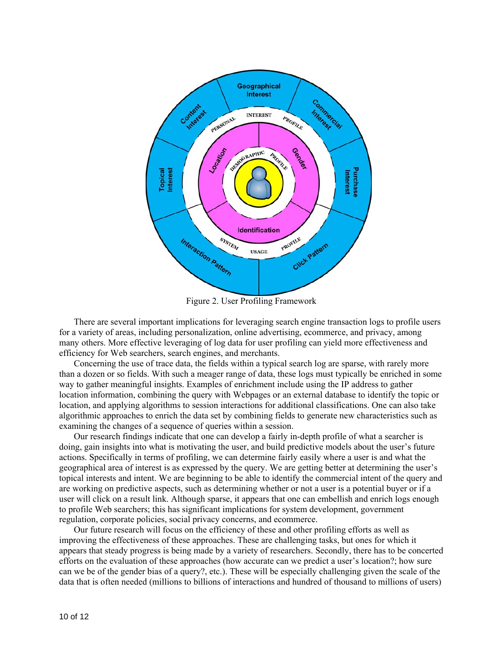

Figure 2. User Profiling Framework

There are several important implications for leveraging search engine transaction logs to profile users for a variety of areas, including personalization, online advertising, ecommerce, and privacy, among many others. More effective leveraging of log data for user profiling can yield more effectiveness and efficiency for Web searchers, search engines, and merchants.

Concerning the use of trace data, the fields within a typical search log are sparse, with rarely more than a dozen or so fields. With such a meager range of data, these logs must typically be enriched in some way to gather meaningful insights. Examples of enrichment include using the IP address to gather location information, combining the query with Webpages or an external database to identify the topic or location, and applying algorithms to session interactions for additional classifications. One can also take algorithmic approaches to enrich the data set by combining fields to generate new characteristics such as examining the changes of a sequence of queries within a session.

Our research findings indicate that one can develop a fairly in-depth profile of what a searcher is doing, gain insights into what is motivating the user, and build predictive models about the user's future actions. Specifically in terms of profiling, we can determine fairly easily where a user is and what the geographical area of interest is as expressed by the query. We are getting better at determining the user's topical interests and intent. We are beginning to be able to identify the commercial intent of the query and are working on predictive aspects, such as determining whether or not a user is a potential buyer or if a user will click on a result link. Although sparse, it appears that one can embellish and enrich logs enough to profile Web searchers; this has significant implications for system development, government regulation, corporate policies, social privacy concerns, and ecommerce.

Our future research will focus on the efficiency of these and other profiling efforts as well as improving the effectiveness of these approaches. These are challenging tasks, but ones for which it appears that steady progress is being made by a variety of researchers. Secondly, there has to be concerted efforts on the evaluation of these approaches (how accurate can we predict a user's location?; how sure can we be of the gender bias of a query?, etc.). These will be especially challenging given the scale of the data that is often needed (millions to billions of interactions and hundred of thousand to millions of users)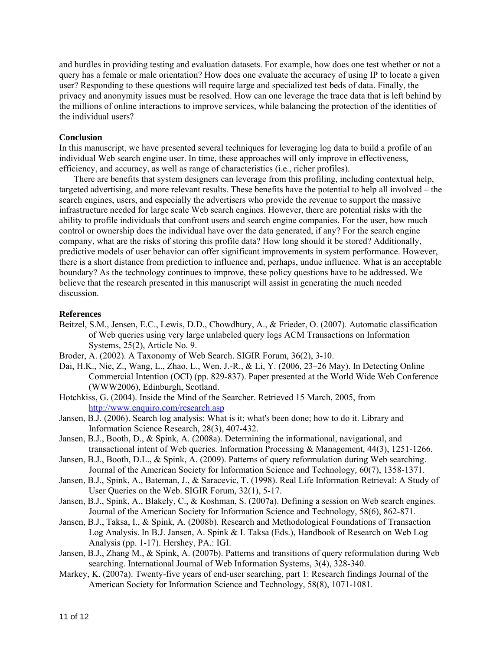and hurdles in providing testing and evaluation datasets. For example, how does one test whether or not a query has a female or male orientation? How does one evaluate the accuracy of using IP to locate a given user? Responding to these questions will require large and specialized test beds of data. Finally, the privacy and anonymity issues must be resolved. How can one leverage the trace data that is left behind by the millions of online interactions to improve services, while balancing the protection of the identities of the individual users?

#### **Conclusion**

In this manuscript, we have presented several techniques for leveraging log data to build a profile of an individual Web search engine user. In time, these approaches will only improve in effectiveness, efficiency, and accuracy, as well as range of characteristics (i.e., richer profiles).

There are benefits that system designers can leverage from this profiling, including contextual help, targeted advertising, and more relevant results. These benefits have the potential to help all involved – the search engines, users, and especially the advertisers who provide the revenue to support the massive infrastructure needed for large scale Web search engines. However, there are potential risks with the ability to profile individuals that confront users and search engine companies. For the user, how much control or ownership does the individual have over the data generated, if any? For the search engine company, what are the risks of storing this profile data? How long should it be stored? Additionally, predictive models of user behavior can offer significant improvements in system performance. However, there is a short distance from prediction to influence and, perhaps, undue influence. What is an acceptable boundary? As the technology continues to improve, these policy questions have to be addressed. We believe that the research presented in this manuscript will assist in generating the much needed discussion.

#### **References**

- Beitzel, S.M., Jensen, E.C., Lewis, D.D., Chowdhury, A., & Frieder, O. (2007). Automatic classification of Web queries using very large unlabeled query logs ACM Transactions on Information Systems*,* 25(2), Article No. 9.
- Broder, A. (2002). A Taxonomy of Web Search. SIGIR Forum*,* 36(2), 3-10.
- Dai, H.K., Nie, Z., Wang, L., Zhao, L., Wen, J.-R., & Li, Y. (2006, 23–26 May). In Detecting Online Commercial Intention (OCI) (pp. 829-837). Paper presented at the World Wide Web Conference (WWW2006), Edinburgh, Scotland.
- Hotchkiss, G. (2004). Inside the Mind of the Searcher. Retrieved 15 March, 2005, from <http://www.enquiro.com/research.asp>
- Jansen, B.J. (2006). Search log analysis: What is it; what's been done; how to do it. Library and Information Science Research*,* 28(3), 407-432.
- Jansen, B.J., Booth, D., & Spink, A. (2008a). Determining the informational, navigational, and transactional intent of Web queries. Information Processing & Management*,* 44(3), 1251-1266.
- Jansen, B.J., Booth, D.L., & Spink, A. (2009). Patterns of query reformulation during Web searching. Journal of the American Society for Information Science and Technology*,* 60(7), 1358-1371.
- Jansen, B.J., Spink, A., Bateman, J., & Saracevic, T. (1998). Real Life Information Retrieval: A Study of User Queries on the Web. SIGIR Forum*,* 32(1), 5-17.
- Jansen, B.J., Spink, A., Blakely, C., & Koshman, S. (2007a). Defining a session on Web search engines. Journal of the American Society for Information Science and Technology*,* 58(6), 862-871.
- Jansen, B.J., Taksa, I., & Spink, A. (2008b). Research and Methodological Foundations of Transaction Log Analysis. In B.J. Jansen, A. Spink & I. Taksa (Eds.), Handbook of Research on Web Log Analysis (pp. 1-17). Hershey, PA.: IGI.
- Jansen, B.J., Zhang M., & Spink, A. (2007b). Patterns and transitions of query reformulation during Web searching. International Journal of Web Information Systems*,* 3(4), 328-340.
- Markey, K. (2007a). Twenty-five years of end-user searching, part 1: Research findings Journal of the American Society for Information Science and Technology*,* 58(8), 1071-1081.